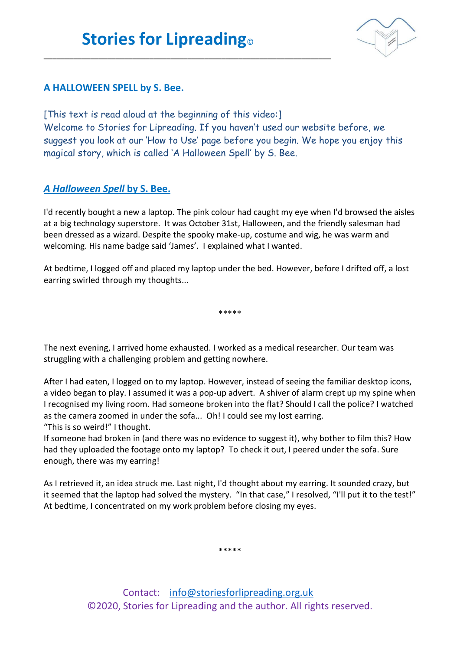\_\_\_\_\_\_\_\_\_\_\_\_\_\_\_\_\_\_\_\_\_\_\_\_\_\_\_\_\_\_\_\_\_\_\_\_\_\_\_\_\_\_\_\_\_\_\_\_\_\_\_\_\_\_\_\_\_\_\_\_\_\_\_\_\_\_\_\_



## **A HALLOWEEN SPELL by S. Bee.**

[This text is read aloud at the beginning of this video:] Welcome to Stories for Lipreading. If you haven't used our website before, we suggest you look at our 'How to Use' page before you begin. We hope you enjoy this magical story, which is called 'A Halloween Spell' by S. Bee.

## *A Halloween Spell* **by S. Bee.**

I'd recently bought a new a laptop. The pink colour had caught my eye when I'd browsed the aisles at a big technology superstore. It was October 31st, Halloween, and the friendly salesman had been dressed as a wizard. Despite the spooky make-up, costume and wig, he was warm and welcoming. His name badge said 'James'. I explained what I wanted.

At bedtime, I logged off and placed my laptop under the bed. However, before I drifted off, a lost earring swirled through my thoughts...

\*\*\*\*\*

The next evening, I arrived home exhausted. I worked as a medical researcher. Our team was struggling with a challenging problem and getting nowhere.

After I had eaten, I logged on to my laptop. However, instead of seeing the familiar desktop icons, a video began to play. I assumed it was a pop-up advert. A shiver of alarm crept up my spine when I recognised my living room. Had someone broken into the flat? Should I call the police? I watched as the camera zoomed in under the sofa... Oh! I could see my lost earring. "This is so weird!" I thought.

If someone had broken in (and there was no evidence to suggest it), why bother to film this? How had they uploaded the footage onto my laptop? To check it out, I peered under the sofa. Sure enough, there was my earring!

As I retrieved it, an idea struck me. Last night, I'd thought about my earring. It sounded crazy, but it seemed that the laptop had solved the mystery. "In that case," I resolved, "I'll put it to the test!" At bedtime, I concentrated on my work problem before closing my eyes.

\*\*\*\*\*

Contact: [info@storiesforlipreading.org.uk](mailto:info@storiesforlipreading.org.uk) ©2020, Stories for Lipreading and the author. All rights reserved.